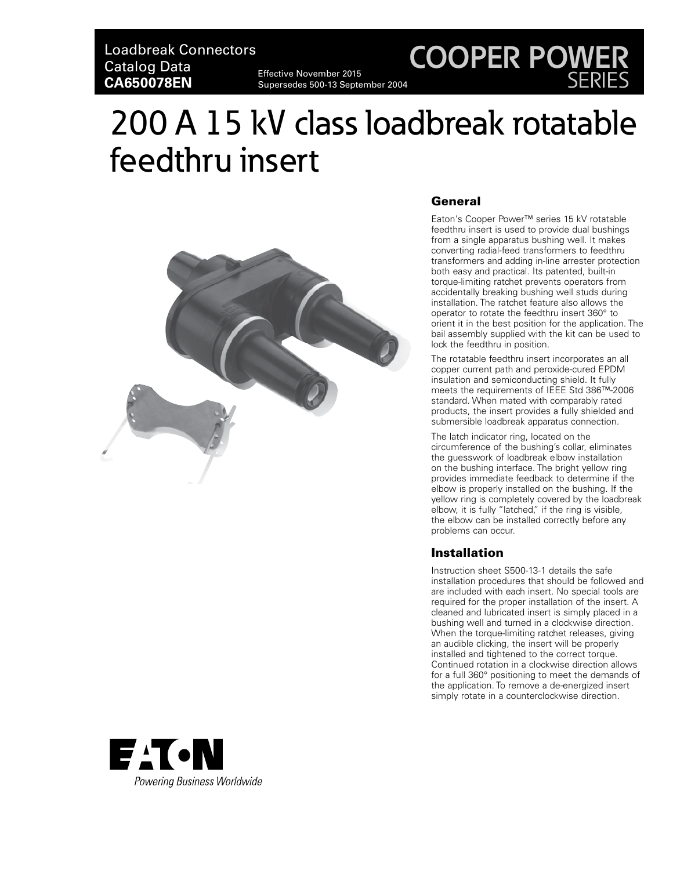Loadbreak Connectors Catalog Data **CA650078EN**

Effective November 2015 Supersedes 500-13 September 2004

# 200 A 15 kV class loadbreak rotatable feedthru insert



## General

Eaton's Cooper Power™ series 15 kV rotatable feedthru insert is used to provide dual bushings from a single apparatus bushing well. It makes converting radial-feed transformers to feedthru transformers and adding in-line arrester protection both easy and practical. Its patented, built-in torque-limiting ratchet prevents operators from accidentally breaking bushing well studs during installation. The ratchet feature also allows the operator to rotate the feedthru insert 360° to orient it in the best position for the application. The bail assembly supplied with the kit can be used to lock the feedthru in position.

**COOPER POWER**

SERIES

The rotatable feedthru insert incorporates an all copper current path and peroxide-cured EPDM insulation and semiconducting shield. It fully meets the requirements of IEEE Std 386™-2006 standard. When mated with comparably rated products, the insert provides a fully shielded and submersible loadbreak apparatus connection.

The latch indicator ring, located on the circumference of the bushing's collar, eliminates the guesswork of loadbreak elbow installation on the bushing interface. The bright yellow ring provides immediate feedback to determine if the elbow is properly installed on the bushing. If the yellow ring is completely covered by the loadbreak elbow, it is fully "latched," if the ring is visible, the elbow can be installed correctly before any problems can occur.

## **Installation**

Instruction sheet S500-13-1 details the safe installation procedures that should be followed and are included with each insert. No special tools are required for the proper installation of the insert. A cleaned and lubricated insert is simply placed in a bushing well and turned in a clockwise direction. When the torque-limiting ratchet releases, giving an audible clicking, the insert will be properly installed and tightened to the correct torque. Continued rotation in a clockwise direction allows for a full 360° positioning to meet the demands of the application. To remove a de-energized insert simply rotate in a counterclockwise direction.

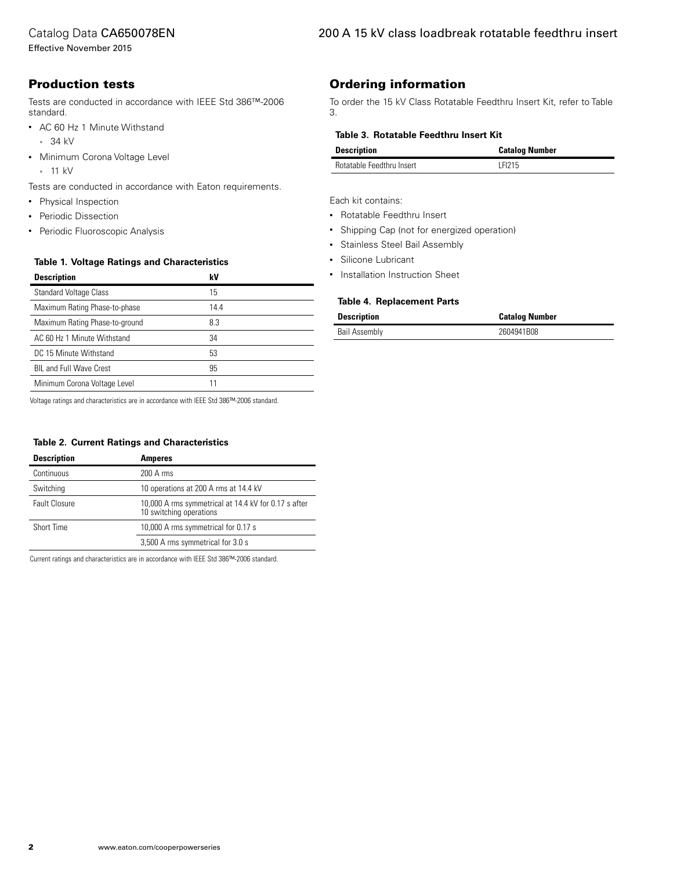## Catalog Data CA650078EN

Effective November 2015

# Production tests

Tests are conducted in accordance with IEEE Std 386™-2006 standard.

- AC 60 Hz 1 Minute Withstand • 34 kV
- Minimum Corona Voltage Level
	- 11 kV

Tests are conducted in accordance with Eaton requirements.

- Physical Inspection
- Periodic Dissection
- Periodic Fluoroscopic Analysis

#### **Table 1. Voltage Ratings and Characteristics**

| <b>Description</b>             | k٧   |
|--------------------------------|------|
| <b>Standard Voltage Class</b>  | 15   |
| Maximum Rating Phase-to-phase  | 14.4 |
| Maximum Rating Phase-to-ground | 8.3  |
| AC 60 Hz 1 Minute Withstand    | 34   |
| DC 15 Minute Withstand         | 53   |
| <b>BIL and Full Wave Crest</b> | 95   |
| Minimum Corona Voltage Level   | 11   |

Voltage ratings and characteristics are in accordance with IEEE Std 386™-2006 standard.

#### **Table 2. Current Ratings and Characteristics**

| <b>Description</b>   | <b>Amperes</b>                                                                  |
|----------------------|---------------------------------------------------------------------------------|
| Continuous           | 200 A rms                                                                       |
| Switching            | 10 operations at 200 A rms at 14.4 kV                                           |
| <b>Fault Closure</b> | 10,000 A rms symmetrical at 14.4 kV for 0.17 s after<br>10 switching operations |
| Short Time           | 10,000 A rms symmetrical for 0.17 s                                             |
|                      | 3,500 A rms symmetrical for 3.0 s                                               |

Current ratings and characteristics are in accordance with IEEE Std 386™-2006 standard.

# Ordering information

To order the 15 kV Class Rotatable Feedthru Insert Kit, refer to Table 3.

#### **Table 3. Rotatable Feedthru Insert Kit**

| <b>Description</b>               | <b>Catalog Number</b> |
|----------------------------------|-----------------------|
| <b>Rotatable Feedthru Insert</b> | LFI215                |

Each kit contains:

- Rotatable Feedthru Insert
- Shipping Cap (not for energized operation)
- Stainless Steel Bail Assembly
- Silicone Lubricant
- Installation Instruction Sheet

#### **Table 4. Replacement Parts**

| <b>Description</b>   | <b>Catalog Number</b> |
|----------------------|-----------------------|
| <b>Bail Assembly</b> | 2604941B08            |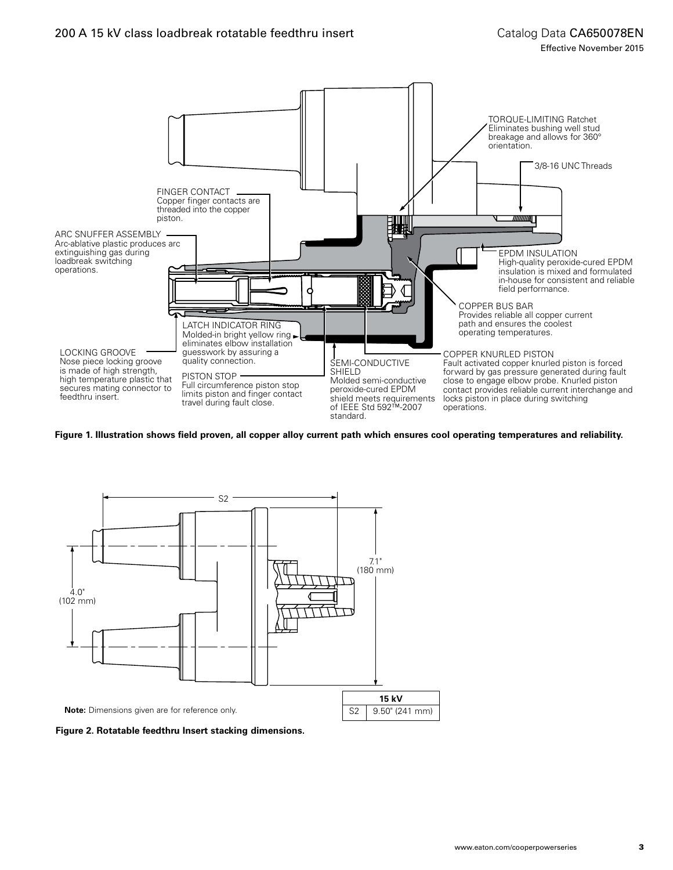

**Figure 1. Illustration shows field proven, all copper alloy current path which ensures cool operating temperatures and reliability.**



**Figure 2. Rotatable feedthru Insert stacking dimensions.**